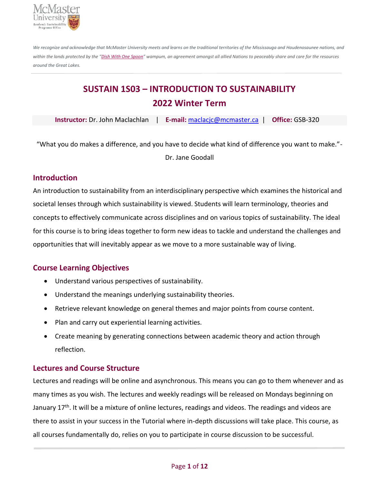

*We recognize and acknowledge that McMaster University meets and learns on the traditional territories of the Mississauga and Haudenosaunee nations, and*  within the lands protected by the "Dish With One Spoon" wampum, an agreement amongst all allied Nations to peaceably share and care for the resources *around the Great Lakes.*

# **SUSTAIN 1S03 – INTRODUCTION TO SUSTAINABILITY 2022 Winter Term**

**Instructor:** Dr. John Maclachlan | **E-mail:** [maclacjc@mcmaster.ca](mailto:maclacjc@mcmaster.ca) | **Office:** GSB-320

"What you do makes a difference, and you have to decide what kind of difference you want to make."- Dr. Jane Goodall

# **Introduction**

An introduction to sustainability from an interdisciplinary perspective which examines the historical and societal lenses through which sustainability is viewed. Students will learn terminology, theories and concepts to effectively communicate across disciplines and on various topics of sustainability. The ideal for this course is to bring ideas together to form new ideas to tackle and understand the challenges and opportunities that will inevitably appear as we move to a more sustainable way of living.

# **Course Learning Objectives**

- Understand various perspectives of sustainability.
- Understand the meanings underlying sustainability theories.
- Retrieve relevant knowledge on general themes and major points from course content.
- Plan and carry out experiential learning activities.
- Create meaning by generating connections between academic theory and action through reflection.

# **Lectures and Course Structure**

Lectures and readings will be online and asynchronous. This means you can go to them whenever and as many times as you wish. The lectures and weekly readings will be released on Mondays beginning on January 17<sup>th</sup>. It will be a mixture of online lectures, readings and videos. The readings and videos are there to assist in your success in the Tutorial where in-depth discussions will take place. This course, as all courses fundamentally do, relies on you to participate in course discussion to be successful.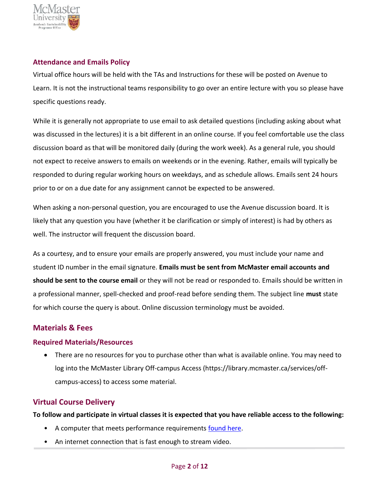

#### **Attendance and Emails Policy**

Virtual office hours will be held with the TAs and Instructions for these will be posted on Avenue to Learn. It is not the instructional teams responsibility to go over an entire lecture with you so please have specific questions ready.

While it is generally not appropriate to use email to ask detailed questions (including asking about what was discussed in the lectures) it is a bit different in an online course. If you feel comfortable use the class discussion board as that will be monitored daily (during the work week). As a general rule, you should not expect to receive answers to emails on weekends or in the evening. Rather, emails will typically be responded to during regular working hours on weekdays, and as schedule allows. Emails sent 24 hours prior to or on a due date for any assignment cannot be expected to be answered.

When asking a non-personal question, you are encouraged to use the Avenue discussion board. It is likely that any question you have (whether it be clarification or simply of interest) is had by others as well. The instructor will frequent the discussion board.

As a courtesy, and to ensure your emails are properly answered, you must include your name and student ID number in the email signature. **Emails must be sent from McMaster email accounts and should be sent to the course email** or they will not be read or responded to. Emails should be written in a professional manner, spell-checked and proof-read before sending them. The subject line **must** state for which course the query is about. Online discussion terminology must be avoided.

# **Materials & Fees**

#### **Required Materials/Resources**

• There are no resources for you to purchase other than what is available online. You may need to log into the McMaster Library Off-campus Access (https://library.mcmaster.ca/services/offcampus-access) to access some material.

# **Virtual Course Delivery**

**To follow and participate in virtual classes it is expected that you have reliable access to the following:**

- A computer that meets performance requirements [found here.](https://cto.mcmaster.ca/technology-resources-for-mcmaster-students/#tab-content-device-recommendations)
- An internet connection that is fast enough to stream video.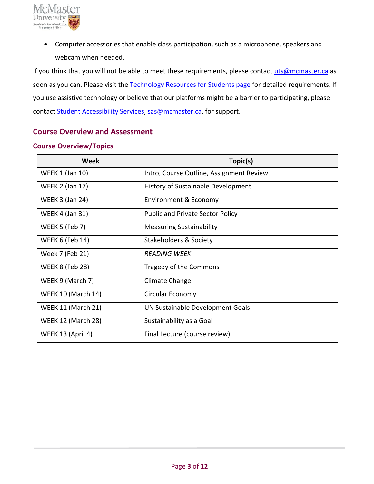

• Computer accessories that enable class participation, such as a microphone, speakers and webcam when needed.

If you think that you will not be able to meet these requirements, please contact [uts@mcmaster.ca](mailto:uts@mcmaster.ca) as soon as you can. Please visit the [Technology Resources for Students page](https://cto.mcmaster.ca/technology-resources-for-mcmaster-students/#tab-content-device-recommendations) for detailed requirements. If you use assistive technology or believe that our platforms might be a barrier to participating, please contact [Student Accessibility Services,](https://sas.mcmaster.ca/) [sas@mcmaster.ca,](mailto:sas@mcmaster.ca) for support.

#### **Course Overview and Assessment**

#### **Course Overview/Topics**

| Week                      | Topic(s)                                 |  |
|---------------------------|------------------------------------------|--|
| <b>WEEK 1 (Jan 10)</b>    | Intro, Course Outline, Assignment Review |  |
| <b>WEEK 2 (Jan 17)</b>    | History of Sustainable Development       |  |
| <b>WEEK 3 (Jan 24)</b>    | Environment & Economy                    |  |
| <b>WEEK 4 (Jan 31)</b>    | <b>Public and Private Sector Policy</b>  |  |
| <b>WEEK 5 (Feb 7)</b>     | <b>Measuring Sustainability</b>          |  |
| WEEK 6 (Feb 14)           | Stakeholders & Society                   |  |
| Week 7 (Feb 21)           | <b>READING WEEK</b>                      |  |
| <b>WEEK 8 (Feb 28)</b>    | Tragedy of the Commons                   |  |
| WEEK 9 (March 7)          | Climate Change                           |  |
| <b>WEEK 10 (March 14)</b> | Circular Economy                         |  |
| <b>WEEK 11 (March 21)</b> | UN Sustainable Development Goals         |  |
| WEEK 12 (March 28)        | Sustainability as a Goal                 |  |
| WEEK 13 (April 4)         | Final Lecture (course review)            |  |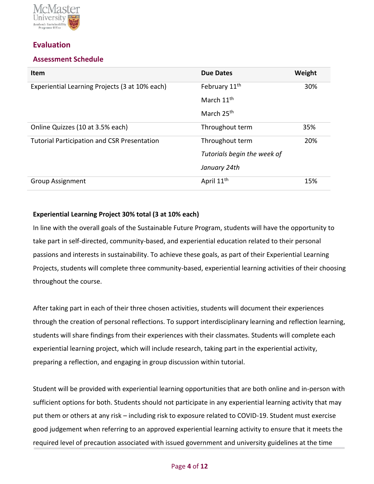

# **Evaluation**

#### **Assessment Schedule**

| <b>Item</b>                                        | <b>Due Dates</b>            | Weight |
|----------------------------------------------------|-----------------------------|--------|
| Experiential Learning Projects (3 at 10% each)     | February 11 <sup>th</sup>   | 30%    |
|                                                    | March 11 <sup>th</sup>      |        |
|                                                    | March 25 <sup>th</sup>      |        |
| Online Quizzes (10 at 3.5% each)                   | Throughout term             | 35%    |
| <b>Tutorial Participation and CSR Presentation</b> | Throughout term             | 20%    |
|                                                    | Tutorials begin the week of |        |
|                                                    | January 24th                |        |
| <b>Group Assignment</b>                            | April 11 <sup>th</sup>      | 15%    |

#### **Experiential Learning Project 30% total (3 at 10% each)**

In line with the overall goals of the Sustainable Future Program, students will have the opportunity to take part in self-directed, community-based, and experiential education related to their personal passions and interests in sustainability. To achieve these goals, as part of their Experiential Learning Projects, students will complete three community-based, experiential learning activities of their choosing throughout the course.

After taking part in each of their three chosen activities, students will document their experiences through the creation of personal reflections. To support interdisciplinary learning and reflection learning, students will share findings from their experiences with their classmates. Students will complete each experiential learning project, which will include research, taking part in the experiential activity, preparing a reflection, and engaging in group discussion within tutorial.

Student will be provided with experiential learning opportunities that are both online and in-person with sufficient options for both. Students should not participate in any experiential learning activity that may put them or others at any risk – including risk to exposure related to COVID-19. Student must exercise good judgement when referring to an approved experiential learning activity to ensure that it meets the required level of precaution associated with issued government and university guidelines at the time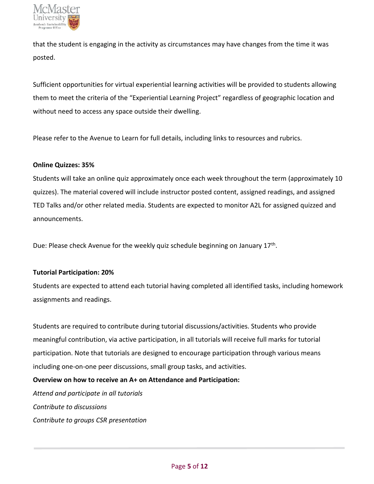

that the student is engaging in the activity as circumstances may have changes from the time it was posted.

Sufficient opportunities for virtual experiential learning activities will be provided to students allowing them to meet the criteria of the "Experiential Learning Project" regardless of geographic location and without need to access any space outside their dwelling.

Please refer to the Avenue to Learn for full details, including links to resources and rubrics.

#### **Online Quizzes: 35%**

Students will take an online quiz approximately once each week throughout the term (approximately 10 quizzes). The material covered will include instructor posted content, assigned readings, and assigned TED Talks and/or other related media. Students are expected to monitor A2L for assigned quizzed and announcements.

Due: Please check Avenue for the weekly quiz schedule beginning on January 17<sup>th</sup>.

#### **Tutorial Participation: 20%**

Students are expected to attend each tutorial having completed all identified tasks, including homework assignments and readings.

Students are required to contribute during tutorial discussions/activities. Students who provide meaningful contribution, via active participation, in all tutorials will receive full marks for tutorial participation. Note that tutorials are designed to encourage participation through various means including one-on-one peer discussions, small group tasks, and activities.

**Overview on how to receive an A+ on Attendance and Participation:** 

*Attend and participate in all tutorials Contribute to discussions Contribute to groups CSR presentation*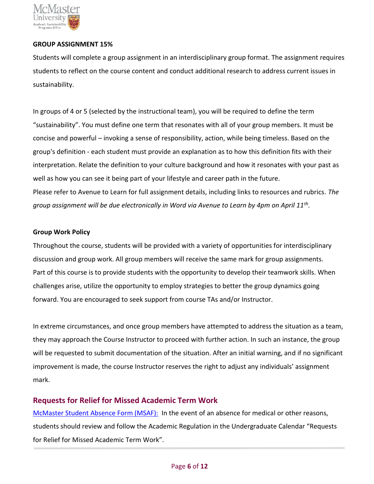

#### **GROUP ASSIGNMENT 15%**

Students will complete a group assignment in an interdisciplinary group format. The assignment requires students to reflect on the course content and conduct additional research to address current issues in sustainability.

In groups of 4 or 5 (selected by the instructional team), you will be required to define the term "sustainability". You must define one term that resonates with all of your group members. It must be concise and powerful – invoking a sense of responsibility, action, while being timeless. Based on the group's definition - each student must provide an explanation as to how this definition fits with their interpretation. Relate the definition to your culture background and how it resonates with your past as well as how you can see it being part of your lifestyle and career path in the future. Please refer to Avenue to Learn for full assignment details, including links to resources and rubrics. *The group assignment will be due electronically in Word via Avenue to Learn by 4pm on April 11th .*

#### **Group Work Policy**

Throughout the course, students will be provided with a variety of opportunities for interdisciplinary discussion and group work. All group members will receive the same mark for group assignments. Part of this course is to provide students with the opportunity to develop their teamwork skills. When challenges arise, utilize the opportunity to employ strategies to better the group dynamics going forward. You are encouraged to seek support from course TAs and/or Instructor.

In extreme circumstances, and once group members have attempted to address the situation as a team, they may approach the Course Instructor to proceed with further action. In such an instance, the group will be requested to submit documentation of the situation. After an initial warning, and if no significant improvement is made, the course Instructor reserves the right to adjust any individuals' assignment mark.

# **Requests for Relief for Missed Academic Term Work**

[McMaster Student Absence Form \(MSAF\):](https://secretariat.mcmaster.ca/university-policies-procedures-guidelines/msaf-mcmaster-student-absence-form/) In the event of an absence for medical or other reasons, students should review and follow the Academic Regulation in the Undergraduate Calendar "Requests for Relief for Missed Academic Term Work".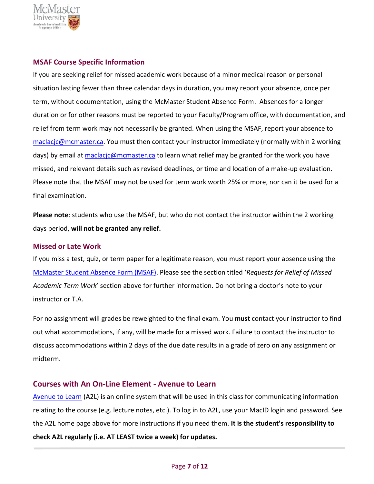

#### **MSAF Course Specific Information**

If you are seeking relief for missed academic work because of a minor medical reason or personal situation lasting fewer than three calendar days in duration, you may report your absence, once per term, without documentation, using the McMaster Student Absence Form. Absences for a longer duration or for other reasons must be reported to your Faculty/Program office, with documentation, and relief from term work may not necessarily be granted. When using the MSAF, report your absence to [maclacjc@mcmaster.ca.](mailto:maclacjc@mcmaster.ca) You must then contact your instructor immediately (normally within 2 working days) by email at [maclacjc@mcmaster.ca](mailto:maclacjc@mcmaster.ca) to learn what relief may be granted for the work you have missed, and relevant details such as revised deadlines, or time and location of a make-up evaluation. Please note that the MSAF may not be used for term work worth 25% or more, nor can it be used for a final examination.

**Please note**: students who use the MSAF, but who do not contact the instructor within the 2 working days period, **will not be granted any relief.**

#### **Missed or Late Work**

If you miss a test, quiz, or term paper for a legitimate reason, you must report your absence using the [McMaster Student Absence Form \(MSAF\)](https://www.mcmaster.ca/msaf/). Please see the section titled '*Requests for Relief of Missed Academic Term Work*' section above for further information. Do not bring a doctor's note to your instructor or T.A.

For no assignment will grades be reweighted to the final exam. You **must** contact your instructor to find out what accommodations, if any, will be made for a missed work. Failure to contact the instructor to discuss accommodations within 2 days of the due date results in a grade of zero on any assignment or midterm.

#### **Courses with An On-Line Element - Avenue to Learn**

[Avenue to Learn](https://avenue.mcmaster.ca/) (A2L) is an online system that will be used in this class for communicating information relating to the course (e.g. lecture notes, etc.). To log in to A2L, use your MacID login and password. See the A2L home page above for more instructions if you need them. **It is the student's responsibility to check A2L regularly (i.e. AT LEAST twice a week) for updates.**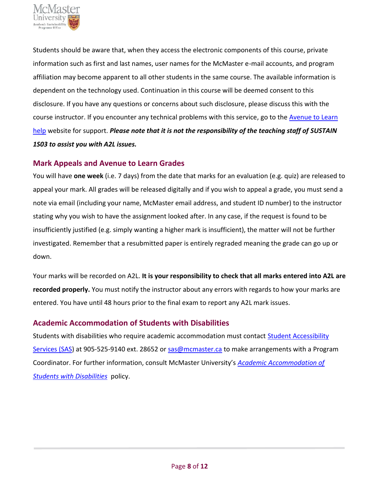

Students should be aware that, when they access the electronic components of this course, private information such as first and last names, user names for the McMaster e-mail accounts, and program affiliation may become apparent to all other students in the same course. The available information is dependent on the technology used. Continuation in this course will be deemed consent to this disclosure. If you have any questions or concerns about such disclosure, please discuss this with the course instructor. If you encounter any technical problems with this service, go to the **Avenue to Learn** [help](https://wiki.mcmaster.ca/avenue/) website for support. *Please note that it is not the responsibility of the teaching staff of SUSTAIN 1S03 to assist you with A2L issues.*

#### **Mark Appeals and Avenue to Learn Grades**

You will have **one week** (i.e. 7 days) from the date that marks for an evaluation (e.g. quiz) are released to appeal your mark. All grades will be released digitally and if you wish to appeal a grade, you must send a note via email (including your name, McMaster email address, and student ID number) to the instructor stating why you wish to have the assignment looked after. In any case, if the request is found to be insufficiently justified (e.g. simply wanting a higher mark is insufficient), the matter will not be further investigated. Remember that a resubmitted paper is entirely regraded meaning the grade can go up or down.

Your marks will be recorded on A2L. **It is your responsibility to check that all marks entered into A2L are recorded properly.** You must notify the instructor about any errors with regards to how your marks are entered. You have until 48 hours prior to the final exam to report any A2L mark issues.

# **Academic Accommodation of Students with Disabilities**

Students with disabilities who require academic accommodation must contact Student Accessibility [Services \(SAS\)](https://sas.mcmaster.ca/) at 905-525-9140 ext. 28652 or [sas@mcmaster.ca](mailto:sas@mcmaster.ca) to make arrangements with a Program Coordinator. For further information, consult McMaster University's *[Academic Accommodation of](https://secretariat.mcmaster.ca/app/uploads/Academic-Accommodations-Policy.pdf)  [Students with Disabilities](https://secretariat.mcmaster.ca/app/uploads/Academic-Accommodations-Policy.pdf)* policy.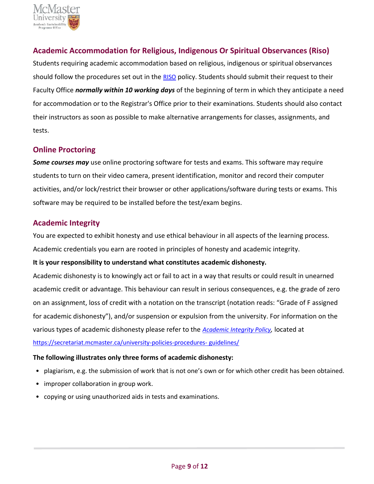

# **Academic Accommodation for Religious, Indigenous Or Spiritual Observances (Riso)**

Students requiring academic accommodation based on religious, indigenous or spiritual observances should follow the procedures set out in the [RISO](https://secretariat.mcmaster.ca/app/uploads/2019/02/Academic-Accommodation-for-Religious-Indigenous-and-Spiritual-Observances-Policy-on.pdf) policy. Students should submit their request to their Faculty Office *normally within 10 working days* of the beginning of term in which they anticipate a need for accommodation or to the Registrar's Office prior to their examinations. Students should also contact their instructors as soon as possible to make alternative arrangements for classes, assignments, and tests.

#### **Online Proctoring**

*Some courses may* use online proctoring software for tests and exams. This software may require students to turn on their video camera, present identification, monitor and record their computer activities, and/or lock/restrict their browser or other applications/software during tests or exams. This software may be required to be installed before the test/exam begins.

# **Academic Integrity**

You are expected to exhibit honesty and use ethical behaviour in all aspects of the learning process. Academic credentials you earn are rooted in principles of honesty and academic integrity.

#### **It is your responsibility to understand what constitutes academic dishonesty.**

Academic dishonesty is to knowingly act or fail to act in a way that results or could result in unearned academic credit or advantage. This behaviour can result in serious consequences, e.g. the grade of zero on an assignment, loss of credit with a notation on the transcript (notation reads: "Grade of F assigned for academic dishonesty"), and/or suspension or expulsion from the university. For information on the various types of academic dishonesty please refer to the *[Academic Integrity Policy](https://secretariat.mcmaster.ca/app/uploads/Academic-Integrity-Policy-1-1.pdf),* located at [https://secretariat.mcmaster.ca/university-policies-procedures-](https://secretariat.mcmaster.ca/university-policies-procedures-%20guidelines/) guidelines/

#### **The following illustrates only three forms of academic dishonesty:**

- plagiarism, e.g. the submission of work that is not one's own or for which other credit has been obtained.
- improper collaboration in group work.
- copying or using unauthorized aids in tests and examinations.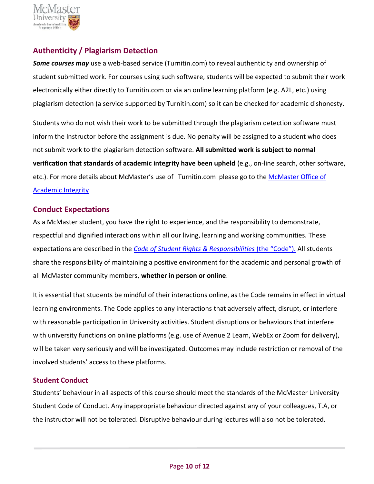

# **Authenticity / Plagiarism Detection**

*Some courses may* use a web-based service (Turnitin.com) to reveal authenticity and ownership of student submitted work. For courses using such software, students will be expected to submit their work electronically either directly to Turnitin.com or via an online learning platform (e.g. A2L, etc.) using plagiarism detection (a service supported by Turnitin.com) so it can be checked for academic dishonesty.

Students who do not wish their work to be submitted through the plagiarism detection software must inform the Instructor before the assignment is due. No penalty will be assigned to a student who does not submit work to the plagiarism detection software. **All submitted work is subject to normal verification that standards of academic integrity have been upheld** (e.g., on-line search, other software, etc.). For more details about McMaster's use of Turnitin.com please go to the McMaster Office of [Academic Integrity](https://www.mcmaster.ca/academicintegrity/)

#### **Conduct Expectations**

As a McMaster student, you have the right to experience, and the responsibility to demonstrate, respectful and dignified interactions within all our living, learning and working communities. These expectations are described in the *[Code of Student Rights & Responsibilities](https://secretariat.mcmaster.ca/app/uploads/Code-of-Student-Rights-and-Responsibilities.pdf)* (the "Code"). All students share the responsibility of maintaining a positive environment for the academic and personal growth of all McMaster community members, **whether in person or online**.

It is essential that students be mindful of their interactions online, as the Code remains in effect in virtual learning environments. The Code applies to any interactions that adversely affect, disrupt, or interfere with reasonable participation in University activities. Student disruptions or behaviours that interfere with university functions on online platforms (e.g. use of Avenue 2 Learn, WebEx or Zoom for delivery), will be taken very seriously and will be investigated. Outcomes may include restriction or removal of the involved students' access to these platforms.

#### **Student Conduct**

Students' behaviour in all aspects of this course should meet the standards of the McMaster University Student Code of Conduct. Any inappropriate behaviour directed against any of your colleagues, T.A, or the instructor will not be tolerated. Disruptive behaviour during lectures will also not be tolerated.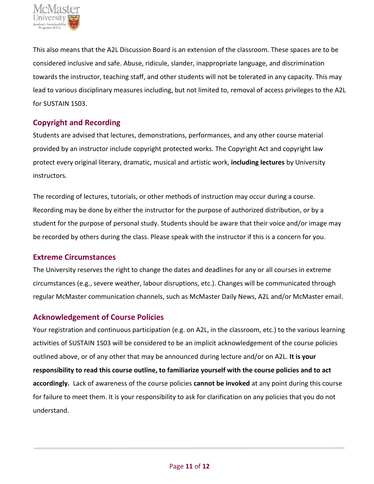

This also means that the A2L Discussion Board is an extension of the classroom. These spaces are to be considered inclusive and safe. Abuse, ridicule, slander, inappropriate language, and discrimination towards the instructor, teaching staff, and other students will not be tolerated in any capacity. This may lead to various disciplinary measures including, but not limited to, removal of access privileges to the A2L for SUSTAIN 1S03.

# **Copyright and Recording**

Students are advised that lectures, demonstrations, performances, and any other course material provided by an instructor include copyright protected works. The Copyright Act and copyright law protect every original literary, dramatic, musical and artistic work, **including lectures** by University instructors.

The recording of lectures, tutorials, or other methods of instruction may occur during a course. Recording may be done by either the instructor for the purpose of authorized distribution, or by a student for the purpose of personal study. Students should be aware that their voice and/or image may be recorded by others during the class. Please speak with the instructor if this is a concern for you.

# **Extreme Circumstances**

The University reserves the right to change the dates and deadlines for any or all courses in extreme circumstances (e.g., severe weather, labour disruptions, etc.). Changes will be communicated through regular McMaster communication channels, such as McMaster Daily News, A2L and/or McMaster email.

# **Acknowledgement of Course Policies**

Your registration and continuous participation (e.g. on A2L, in the classroom, etc.) to the various learning activities of SUSTAIN 1S03 will be considered to be an implicit acknowledgement of the course policies outlined above, or of any other that may be announced during lecture and/or on A2L. **It is your responsibility to read this course outline, to familiarize yourself with the course policies and to act accordingly.** Lack of awareness of the course policies **cannot be invoked** at any point during this course for failure to meet them. It is your responsibility to ask for clarification on any policies that you do not understand.